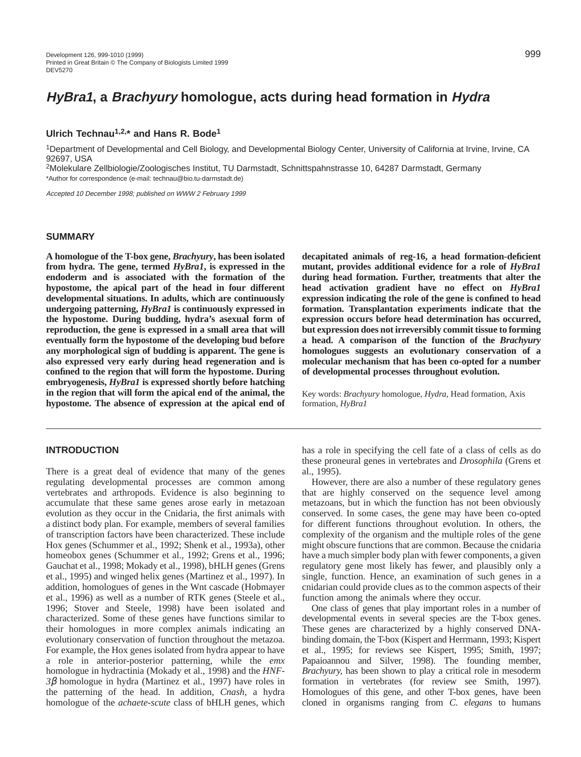# **Ulrich Technau1,2,\* and Hans R. Bode1**

1Department of Developmental and Cell Biology, and Developmental Biology Center, University of California at Irvine, Irvine, CA 92697, USA

2Molekulare Zellbiologie/Zoologisches Institut, TU Darmstadt, Schnittspahnstrasse 10, 64287 Darmstadt, Germany \*Author for correspondence (e-mail: technau@bio.tu-darmstadt.de)

Accepted 10 December 1998; published on WWW 2 February 1999

### **SUMMARY**

**A homologue of the T-box gene,** *Brachyury***, has been isolated from hydra. The gene, termed** *HyBra1***, is expressed in the endoderm and is associated with the formation of the hypostome, the apical part of the head in four different developmental situations. In adults, which are continuously undergoing patterning,** *HyBra1* **is continuously expressed in the hypostome. During budding, hydra's asexual form of reproduction, the gene is expressed in a small area that will eventually form the hypostome of the developing bud before any morphological sign of budding is apparent. The gene is also expressed very early during head regeneration and is confined to the region that will form the hypostome. During embryogenesis,** *HyBra1* **is expressed shortly before hatching in the region that will form the apical end of the animal, the hypostome. The absence of expression at the apical end of**

### **INTRODUCTION**

There is a great deal of evidence that many of the genes regulating developmental processes are common among vertebrates and arthropods. Evidence is also beginning to accumulate that these same genes arose early in metazoan evolution as they occur in the Cnidaria, the first animals with a distinct body plan. For example, members of several families of transcription factors have been characterized. These include Hox genes (Schummer et al., 1992; Shenk et al., 1993a), other homeobox genes (Schummer et al., 1992; Grens et al., 1996; Gauchat et al., 1998; Mokady et al., 1998), bHLH genes (Grens et al., 1995) and winged helix genes (Martinez et al., 1997). In addition, homologues of genes in the Wnt cascade (Hobmayer et al., 1996) as well as a number of RTK genes (Steele et al., 1996; Stover and Steele, 1998) have been isolated and characterized. Some of these genes have functions similar to their homologues in more complex animals indicating an evolutionary conservation of function throughout the metazoa. For example, the Hox genes isolated from hydra appear to have a role in anterior-posterior patterning, while the *emx* homologue in hydractinia (Mokady et al., 1998) and the *HNF-3*β homologue in hydra (Martinez et al., 1997) have roles in the patterning of the head. In addition, *Cnash*, a hydra homologue of the *achaete-scute* class of bHLH genes, which **decapitated animals of reg-16, a head formation-deficient mutant, provides additional evidence for a role of** *HyBra1* **during head formation. Further, treatments that alter the head activation gradient have no effect on** *HyBra1* **expression indicating the role of the gene is confined to head formation. Transplantation experiments indicate that the expression occurs before head determination has occurred, but expression does not irreversibly commit tissue to forming a head. A comparison of the function of the** *Brachyury* **homologues suggests an evolutionary conservation of a molecular mechanism that has been co-opted for a number of developmental processes throughout evolution.**

Key words: *Brachyury* homologue, *Hydra*, Head formation, Axis formation, *HyBra1*

has a role in specifying the cell fate of a class of cells as do these proneural genes in vertebrates and *Drosophila* (Grens et al., 1995).

However, there are also a number of these regulatory genes that are highly conserved on the sequence level among metazoans, but in which the function has not been obviously conserved. In some cases, the gene may have been co-opted for different functions throughout evolution. In others, the complexity of the organism and the multiple roles of the gene might obscure functions that are common. Because the cnidaria have a much simpler body plan with fewer components, a given regulatory gene most likely has fewer, and plausibly only a single, function. Hence, an examination of such genes in a cnidarian could provide clues as to the common aspects of their function among the animals where they occur.

One class of genes that play important roles in a number of developmental events in several species are the T-box genes. These genes are characterized by a highly conserved DNAbinding domain, the T-box (Kispert and Herrmann, 1993; Kispert et al., 1995; for reviews see Kispert, 1995; Smith, 1997; Papaioannou and Silver, 1998). The founding member, *Brachyury,* has been shown to play a critical role in mesoderm formation in vertebrates (for review see Smith, 1997). Homologues of this gene, and other T-box genes, have been cloned in organisms ranging from *C. elegans* to humans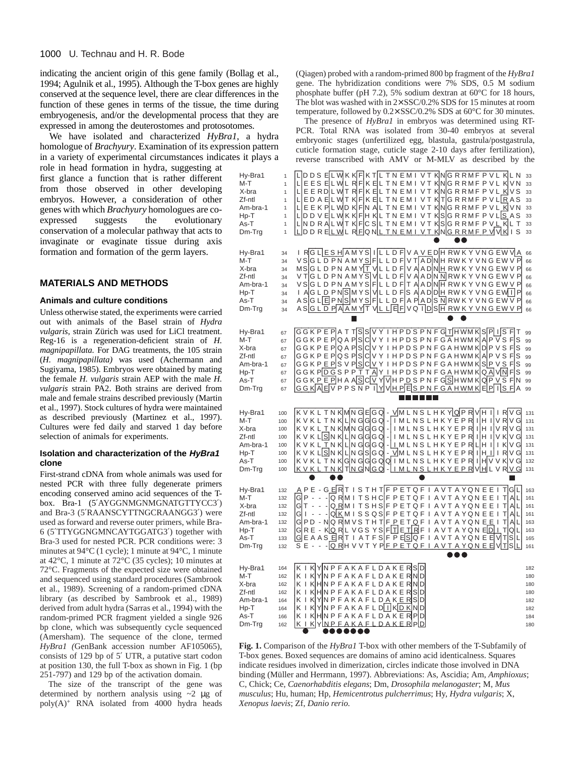indicating the ancient origin of this gene family (Bollag et al., 1994; Agulnik et al., 1995). Although the T-box genes are highly conserved at the sequence level, there are clear differences in the function of these genes in terms of the tissue, the time during embryogenesis, and/or the developmental process that they are expressed in among the deuterostomes and protosotomes.

We have isolated and characterized *HyBra1*, a hydra homologue of *Brachyury*. Examination of its expression pattern in a variety of experimental circumstances indicates it plays a

role in head formation in hydra, suggesting at first glance a function that is rather different from those observed in other developing embryos. However, a consideration of other genes with which *Brachyury* homologues are coexpressed suggests the evolutionary conservation of a molecular pathway that acts to invaginate or evaginate tissue during axis formation and formation of the germ layers.

## **MATERIALS AND METHODS**

#### **Animals and culture conditions**

Unless otherwise stated, the experiments were carried out with animals of the Basel strain of *Hydra vulgaris*, strain Zürich was used for LiCl treatment. Reg-16 is a regeneration-deficient strain of *H. magnipapillata.* For DAG treatments, the 105 strain (*H. magnipapillata)* was used (Achermann and Sugiyama, 1985). Embryos were obtained by mating the female *H. vulgaris* strain AEP with the male *H. vulgaris* strain PA2. Both strains are derived from male and female strains described previously (Martin et al., 1997). Stock cultures of hydra were maintained as described previously (Martinez et al., 1997). Cultures were fed daily and starved 1 day before selection of animals for experiments.

#### **Isolation and characterization of the HyBra1 clone**

First-strand cDNA from whole animals was used for nested PCR with three fully degenerate primers encoding conserved amino acid sequences of the Tbox. Bra-1 (5′AYGGNMGNMGNATGTTYCC3′) and Bra-3 (5′RAANSCYTTNGCRAANGG3′) were used as forward and reverse outer primers, while Bra-6 (5′TTYGGNGMNCAYTGGATG3′) together with Bra-3 used for nested PCR. PCR conditions were: 3 minutes at 94°C (1 cycle); 1 minute at 94°C, 1 minute at 42°C, 1 minute at 72°C (35 cycles); 10 minutes at 72°C. Fragments of the expected size were obtained and sequenced using standard procedures (Sambrook et al., 1989). Screening of a random-primed cDNA library (as described by Sambrook et al., 1989) derived from adult hydra (Sarras et al., 1994) with the random-primed PCR fragment yielded a single 926 bp clone, which was subsequently cycle sequenced (Amersham). The sequence of the clone, termed *HyBra1 (*GenBank accession number AF105065), consists of 129 bp of 5′ UTR, a putative start codon at position 130, the full T-box as shown in Fig. 1 (bp 251-797) and 129 bp of the activation domain.

The size of the transcript of the gene was determined by northern analysis using  $\sim$ 2 µg of  $poly(A)^+$  RNA isolated from 4000 hydra heads

(Qiagen) probed with a random-primed 800 bp fragment of the *HyBra1* gene. The hybridization conditions were 7% SDS, 0.5 M sodium phosphate buffer (pH 7.2), 5% sodium dextran at 60°C for 18 hours, The blot was washed with in  $2 \times$  SSC/0.2% SDS for 15 minutes at room temperature, followed by 0.2× SSC/0.2% SDS at 60°C for 30 minutes.

The presence of *HyBra1* in embryos was determined using RT-PCR. Total RNA was isolated from 30-40 embryos at several embryonic stages (unfertilized egg, blastula, gastrula/postgastrula, cuticle formation stage, cuticle stage 2-10 days after fertilization), reverse transcribed with AMV or M-MLV as described by the



**Fig. 1.** Comparison of the *HyBra1* T-box with other members of the T-Subfamily of T-box genes. Boxed sequences are domains of amino acid identicalness. Squares indicate residues involved in dimerization, circles indicate those involved in DNA binding (Müller and Herrmann, 1997). Abbreviations: As, Ascidia; Am, *Amphioxus*; C, Chick; Ce, *Caenorhabditis elegans*; Dm, *Drosophila melanogaster*; M, *Mus musculus*; Hu, human; Hp, *Hemicentrotus pulcherrimus*; Hy, *Hydra vulgaris*; X, *Xenopus laevis*; Zf, *Danio rerio.*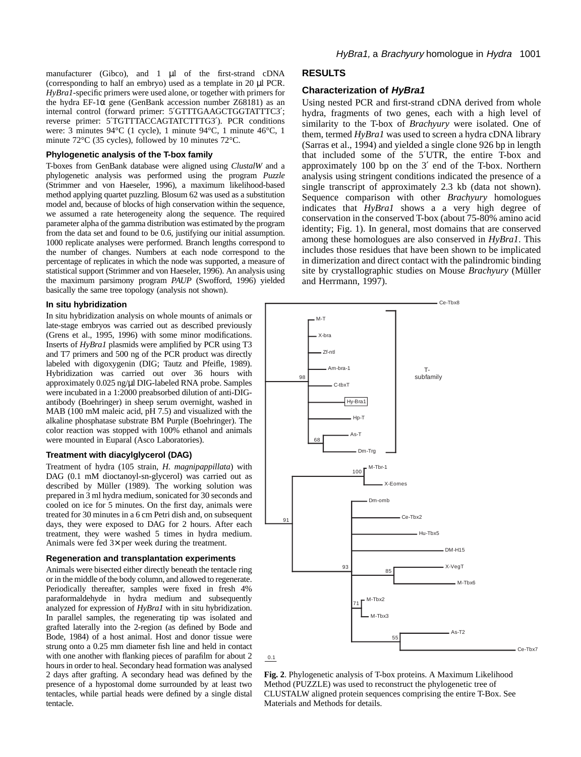manufacturer (Gibco), and 1 µl of the first-strand cDNA (corresponding to half an embryo) used as a template in 20 µl PCR. *HyBra1*-specific primers were used alone, or together with primers for the hydra EF-1 $\alpha$  gene (GenBank accession number Z68181) as an internal control (forward primer: 5′GTTTGAAGCTGGTATTTC3′; reverse primer: 5′TGTTTACCAGTATCTTTG3′). PCR conditions were: 3 minutes 94°C (1 cycle), 1 minute 94°C, 1 minute 46°C, 1 minute 72°C (35 cycles), followed by 10 minutes 72°C.

### **Phylogenetic analysis of the T-box family**

T-boxes from GenBank database were aligned using *ClustalW* and a phylogenetic analysis was performed using the program *Puzzle* (Strimmer and von Haeseler, 1996), a maximum likelihood-based method applying quartet puzzling. Blosum 62 was used as a substitution model and, because of blocks of high conservation within the sequence, we assumed a rate heterogeneity along the sequence. The required parameter alpha of the gamma distribution was estimated by the program from the data set and found to be 0.6, justifying our initial assumption. 1000 replicate analyses were performed. Branch lengths correspond to the number of changes. Numbers at each node correspond to the percentage of replicates in which the node was supported, a measure of statistical support (Strimmer and von Haeseler, 1996). An analysis using the maximum parsimony program *PAUP* (Swofford, 1996) yielded basically the same tree topology (analysis not shown).

#### **In situ hybridization**

In situ hybridization analysis on whole mounts of animals or late-stage embryos was carried out as described previously (Grens et al., 1995, 1996) with some minor modifications. Inserts of *HyBra1* plasmids were amplified by PCR using T3 and T7 primers and 500 ng of the PCR product was directly labeled with digoxygenin (DIG; Tautz and Pfeifle, 1989). Hybridization was carried out over 36 hours with approximately 0.025 ng/µl DIG-labeled RNA probe. Samples were incubated in a 1:2000 preabsorbed dilution of anti-DIGantibody (Boehringer) in sheep serum overnight, washed in MAB (100 mM maleic acid, pH 7.5) and visualized with the alkaline phosphatase substrate BM Purple (Boehringer). The color reaction was stopped with 100% ethanol and animals were mounted in Euparal (Asco Laboratories).

#### **Treatment with diacylglycerol (DAG)**

Treatment of hydra (105 strain, *H. magnipappillata*) with DAG (0.1 mM dioctanoyl-sn-glycerol) was carried out as described by Müller (1989). The working solution was prepared in 3 ml hydra medium, sonicated for 30 seconds and cooled on ice for 5 minutes. On the first day, animals were treated for 30 minutes in a 6 cm Petri dish and, on subsequent days, they were exposed to DAG for 2 hours. After each treatment, they were washed 5 times in hydra medium. Animals were fed 3× per week during the treatment.

#### **Regeneration and transplantation experiments**

Animals were bisected either directly beneath the tentacle ring or in the middle of the body column, and allowed to regenerate. Periodically thereafter, samples were fixed in fresh 4% paraformaldehyde in hydra medium and subsequently analyzed for expression of *HyBra1* with in situ hybridization. In parallel samples, the regenerating tip was isolated and grafted laterally into the 2-region (as defined by Bode and Bode, 1984) of a host animal. Host and donor tissue were strung onto a 0.25 mm diameter fish line and held in contact with one another with flanking pieces of parafilm for about 2 hours in order to heal. Secondary head formation was analysed 2 days after grafting. A secondary head was defined by the presence of a hypostomal dome surrounded by at least two tentacles, while partial heads were defined by a single distal tentacle.

#### **RESULTS**

#### **Characterization of HyBra1**

Using nested PCR and first-strand cDNA derived from whole hydra, fragments of two genes, each with a high level of similarity to the T-box of *Brachyury* were isolated. One of them, termed *HyBra1* was used to screen a hydra cDNA library (Sarras et al., 1994) and yielded a single clone 926 bp in length that included some of the 5′UTR, the entire T-box and approximately 100 bp on the 3′ end of the T-box. Northern analysis using stringent conditions indicated the presence of a single transcript of approximately 2.3 kb (data not shown). Sequence comparison with other *Brachyury* homologues indicates that *HyBra1* shows a a very high degree of conservation in the conserved T-box (about 75-80% amino acid identity; Fig. 1). In general, most domains that are conserved among these homologues are also conserved in *HyBra1*. This includes those residues that have been shown to be implicated in dimerization and direct contact with the palindromic binding site by crystallographic studies on Mouse *Brachyury* (Müller and Herrmann, 1997).

Ce-Thx<sup>8</sup>



**Fig. 2**. Phylogenetic analysis of T-box proteins. A Maximum Likelihood Method (PUZZLE) was used to reconstruct the phylogenetic tree of CLUSTALW aligned protein sequences comprising the entire T-Box. See Materials and Methods for details.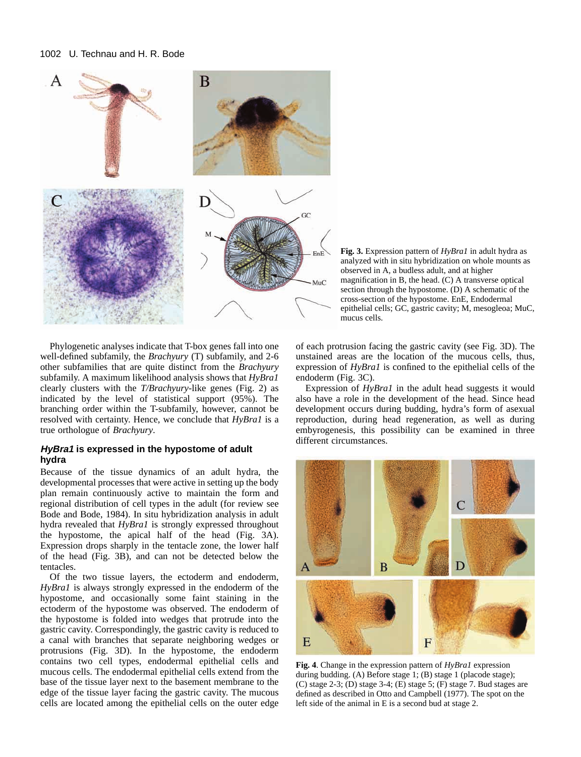

**Fig. 3.** Expression pattern of *HyBra1* in adult hydra as analyzed with in situ hybridization on whole mounts as observed in A, a budless adult, and at higher magnification in B, the head. (C) A transverse optical section through the hypostome. (D) A schematic of the cross-section of the hypostome. EnE, Endodermal epithelial cells; GC, gastric cavity; M, mesogleoa; MuC, mucus cells.

Phylogenetic analyses indicate that T-box genes fall into one well-defined subfamily, the *Brachyury* (T) subfamily, and 2-6 other subfamilies that are quite distinct from the *Brachyury* subfamily. A maximum likelihood analysis shows that *HyBra1* clearly clusters with the *T/Brachyury-*like genes (Fig. 2) as indicated by the level of statistical support (95%). The branching order within the T-subfamily, however, cannot be resolved with certainty. Hence, we conclude that *HyBra1* is a true orthologue of *Brachyury*.

## **HyBra1 is expressed in the hypostome of adult hydra**

Because of the tissue dynamics of an adult hydra, the developmental processes that were active in setting up the body plan remain continuously active to maintain the form and regional distribution of cell types in the adult (for review see Bode and Bode, 1984). In situ hybridization analysis in adult hydra revealed that *HyBra1* is strongly expressed throughout the hypostome, the apical half of the head (Fig. 3A). Expression drops sharply in the tentacle zone, the lower half of the head (Fig. 3B), and can not be detected below the tentacles.

Of the two tissue layers, the ectoderm and endoderm, *HyBra1* is always strongly expressed in the endoderm of the hypostome, and occasionally some faint staining in the ectoderm of the hypostome was observed. The endoderm of the hypostome is folded into wedges that protrude into the gastric cavity. Correspondingly, the gastric cavity is reduced to a canal with branches that separate neighboring wedges or protrusions (Fig. 3D). In the hypostome, the endoderm contains two cell types, endodermal epithelial cells and mucous cells. The endodermal epithelial cells extend from the base of the tissue layer next to the basement membrane to the edge of the tissue layer facing the gastric cavity. The mucous cells are located among the epithelial cells on the outer edge

of each protrusion facing the gastric cavity (see Fig. 3D). The unstained areas are the location of the mucous cells, thus, expression of *HyBra1* is confined to the epithelial cells of the endoderm (Fig. 3C).

Expression of *HyBra1* in the adult head suggests it would also have a role in the development of the head. Since head development occurs during budding, hydra's form of asexual reproduction, during head regeneration, as well as during embyrogenesis, this possibility can be examined in three different circumstances.



**Fig. 4**. Change in the expression pattern of *HyBra1* expression during budding. (A) Before stage 1; (B) stage 1 (placode stage);  $(C)$  stage 2-3;  $(D)$  stage 3-4;  $(E)$  stage 5;  $(F)$  stage 7. Bud stages are defined as described in Otto and Campbell (1977). The spot on the left side of the animal in E is a second bud at stage 2.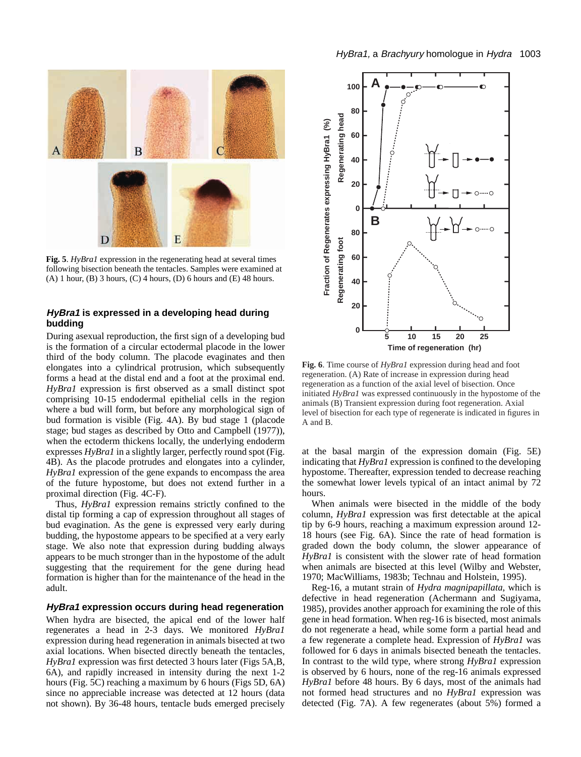

**Fig. 5**. *HyBra1* expression in the regenerating head at several times following bisection beneath the tentacles. Samples were examined at  $(A)$  1 hour,  $(B)$  3 hours,  $(C)$  4 hours,  $(D)$  6 hours and  $(E)$  48 hours.

## **HyBra1 is expressed in a developing head during budding**

During asexual reproduction, the first sign of a developing bud is the formation of a circular ectodermal placode in the lower third of the body column. The placode evaginates and then elongates into a cylindrical protrusion, which subsequently forms a head at the distal end and a foot at the proximal end. *HyBra1* expression is first observed as a small distinct spot comprising 10-15 endodermal epithelial cells in the region where a bud will form, but before any morphological sign of bud formation is visible (Fig. 4A). By bud stage 1 (placode stage; bud stages as described by Otto and Campbell (1977)), when the ectoderm thickens locally, the underlying endoderm expresses *HyBra1* in a slightly larger, perfectly round spot (Fig. 4B). As the placode protrudes and elongates into a cylinder, *HyBra1* expression of the gene expands to encompass the area of the future hypostome, but does not extend further in a proximal direction (Fig. 4C-F).

Thus, *HyBra1* expression remains strictly confined to the distal tip forming a cap of expression throughout all stages of bud evagination. As the gene is expressed very early during budding, the hypostome appears to be specified at a very early stage. We also note that expression during budding always appears to be much stronger than in the hypostome of the adult suggesting that the requirement for the gene during head formation is higher than for the maintenance of the head in the adult.

### **HyBra1 expression occurs during head regeneration**

When hydra are bisected, the apical end of the lower half regenerates a head in 2-3 days. We monitored *HyBra1* expression during head regeneration in animals bisected at two axial locations. When bisected directly beneath the tentacles, *HyBra1* expression was first detected 3 hours later (Figs 5A,B, 6A), and rapidly increased in intensity during the next 1-2 hours (Fig. 5C) reaching a maximum by 6 hours (Figs 5D, 6A) since no appreciable increase was detected at 12 hours (data not shown). By 36-48 hours, tentacle buds emerged precisely



**Fig. 6**. Time course of *HyBra1* expression during head and foot regeneration. (A) Rate of increase in expression during head regeneration as a function of the axial level of bisection. Once initiated *HyBra1* was expressed continuously in the hypostome of the animals (B) Transient expression during foot regeneration. Axial level of bisection for each type of regenerate is indicated in figures in A and B.

at the basal margin of the expression domain (Fig. 5E) indicating that *HyBra1* expression is confined to the developing hypostome. Thereafter, expression tended to decrease reaching the somewhat lower levels typical of an intact animal by 72 hours.

When animals were bisected in the middle of the body column, *HyBra1* expression was first detectable at the apical tip by 6-9 hours, reaching a maximum expression around 12- 18 hours (see Fig. 6A). Since the rate of head formation is graded down the body column, the slower appearance of *HyBra1* is consistent with the slower rate of head formation when animals are bisected at this level (Wilby and Webster, 1970; MacWilliams, 1983b; Technau and Holstein, 1995).

Reg-16, a mutant strain of *Hydra magnipapillata*, which is defective in head regeneration (Achermann and Sugiyama, 1985), provides another approach for examining the role of this gene in head formation. When reg-16 is bisected, most animals do not regenerate a head, while some form a partial head and a few regenerate a complete head. Expression of *HyBra1* was followed for 6 days in animals bisected beneath the tentacles. In contrast to the wild type, where strong *HyBra1* expression is observed by 6 hours, none of the reg-16 animals expressed *HyBra1* before 48 hours. By 6 days, most of the animals had not formed head structures and no *HyBra1* expression was detected (Fig. 7A). A few regenerates (about 5%) formed a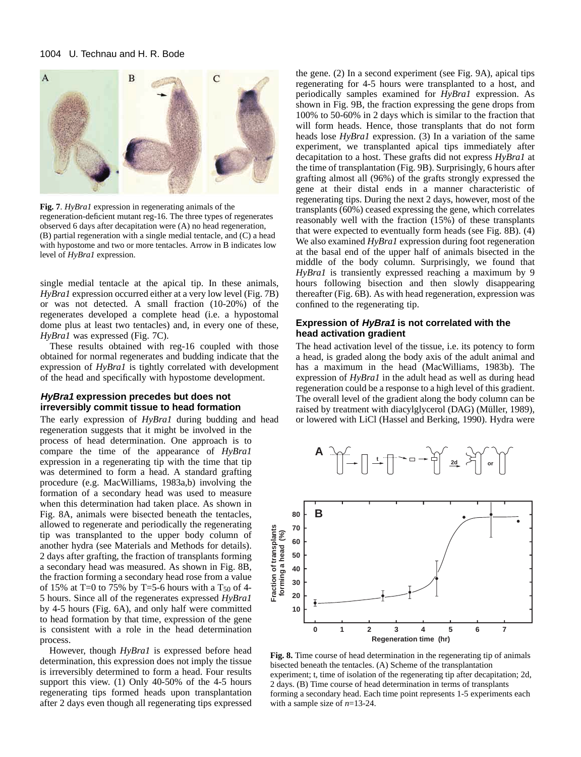

**Fig. 7**. *HyBra1* expression in regenerating animals of the regeneration-deficient mutant reg-16. The three types of regenerates observed 6 days after decapitation were (A) no head regeneration, (B) partial regeneration with a single medial tentacle, and (C) a head with hypostome and two or more tentacles. Arrow in B indicates low level of *HyBra1* expression.

single medial tentacle at the apical tip. In these animals, *HyBra1* expression occurred either at a very low level (Fig. 7B) or was not detected. A small fraction (10-20%) of the regenerates developed a complete head (i.e. a hypostomal dome plus at least two tentacles) and, in every one of these, *HyBra1* was expressed (Fig. 7C).

These results obtained with reg-16 coupled with those obtained for normal regenerates and budding indicate that the expression of *HyBra1* is tightly correlated with development of the head and specifically with hypostome development.

### **HyBra1 expression precedes but does not irreversibly commit tissue to head formation**

The early expression of *HyBra1* during budding and head regeneration suggests that it might be involved in the process of head determination. One approach is to compare the time of the appearance of *HyBra1* expression in a regenerating tip with the time that tip was determined to form a head. A standard grafting procedure (e.g. MacWilliams, 1983a,b) involving the formation of a secondary head was used to measure when this determination had taken place. As shown in Fig. 8A, animals were bisected beneath the tentacles, allowed to regenerate and periodically the regenerating tip was transplanted to the upper body column of another hydra (see Materials and Methods for details). 2 days after grafting, the fraction of transplants forming a secondary head was measured. As shown in Fig. 8B, the fraction forming a secondary head rose from a value of 15% at T=0 to 75% by T=5-6 hours with a  $T_{50}$  of 4-5 hours. Since all of the regenerates expressed *HyBra1* by 4-5 hours (Fig. 6A), and only half were committed to head formation by that time, expression of the gene is consistent with a role in the head determination process.

However, though *HyBra1* is expressed before head determination, this expression does not imply the tissue is irreversibly determined to form a head. Four results support this view. (1) Only 40-50% of the 4-5 hours regenerating tips formed heads upon transplantation after 2 days even though all regenerating tips expressed

the gene. (2) In a second experiment (see Fig. 9A), apical tips regenerating for 4-5 hours were transplanted to a host, and periodically samples examined for *HyBra1* expression. As shown in Fig. 9B, the fraction expressing the gene drops from 100% to 50-60% in 2 days which is similar to the fraction that will form heads. Hence, those transplants that do not form heads lose *HyBra1* expression. (3) In a variation of the same experiment, we transplanted apical tips immediately after decapitation to a host. These grafts did not express *HyBra1* at the time of transplantation (Fig. 9B). Surprisingly, 6 hours after grafting almost all (96%) of the grafts strongly expressed the gene at their distal ends in a manner characteristic of regenerating tips. During the next 2 days, however, most of the transplants (60%) ceased expressing the gene, which correlates reasonably well with the fraction (15%) of these transplants that were expected to eventually form heads (see Fig. 8B). (4) We also examined *HyBra1* expression during foot regeneration at the basal end of the upper half of animals bisected in the middle of the body column. Surprisingly, we found that *HyBra1* is transiently expressed reaching a maximum by 9 hours following bisection and then slowly disappearing thereafter (Fig. 6B). As with head regeneration, expression was confined to the regenerating tip.

## **Expression of HyBra1 is not correlated with the head activation gradient**

The head activation level of the tissue, i.e. its potency to form a head, is graded along the body axis of the adult animal and has a maximum in the head (MacWilliams, 1983b). The expression of *HyBra1* in the adult head as well as during head regeneration could be a response to a high level of this gradient. The overall level of the gradient along the body column can be raised by treatment with diacylglycerol (DAG) (Müller, 1989), or lowered with LiCl (Hassel and Berking, 1990). Hydra were



**Fig. 8.** Time course of head determination in the regenerating tip of animals bisected beneath the tentacles. (A) Scheme of the transplantation experiment; t, time of isolation of the regenerating tip after decapitation; 2d, 2 days. (B) Time course of head determination in terms of transplants forming a secondary head. Each time point represents 1-5 experiments each with a sample size of *n*=13-24.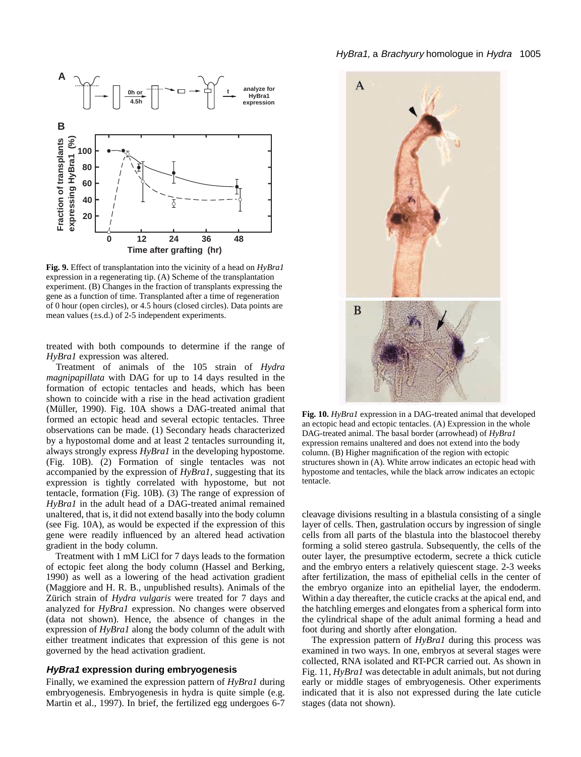

**Fig. 9.** Effect of transplantation into the vicinity of a head on *HyBra1* expression in a regenerating tip. (A) Scheme of the transplantation experiment. (B) Changes in the fraction of transplants expressing the gene as a function of time. Transplanted after a time of regeneration of 0 hour (open circles), or 4.5 hours (closed circles). Data points are mean values  $(\pm s.d.)$  of 2-5 independent experiments.

treated with both compounds to determine if the range of *HyBra1* expression was altered.

Treatment of animals of the 105 strain of *Hydra magnipapillata* with DAG for up to 14 days resulted in the formation of ectopic tentacles and heads, which has been shown to coincide with a rise in the head activation gradient (Müller, 1990). Fig. 10A shows a DAG-treated animal that formed an ectopic head and several ectopic tentacles. Three observations can be made. (1) Secondary heads characterized by a hypostomal dome and at least 2 tentacles surrounding it, always strongly express *HyBra1* in the developing hypostome. (Fig. 10B). (2) Formation of single tentacles was not accompanied by the expression of *HyBra1*, suggesting that its expression is tightly correlated with hypostome, but not tentacle, formation (Fig. 10B). (3) The range of expression of *HyBra1* in the adult head of a DAG-treated animal remained unaltered, that is, it did not extend basally into the body column (see Fig. 10A), as would be expected if the expression of this gene were readily influenced by an altered head activation gradient in the body column.

Treatment with 1 mM LiCl for 7 days leads to the formation of ectopic feet along the body column (Hassel and Berking, 1990) as well as a lowering of the head activation gradient (Maggiore and H. R. B., unpublished results). Animals of the Zürich strain of *Hydra vulgaris* were treated for 7 days and analyzed for *HyBra1* expression. No changes were observed (data not shown). Hence, the absence of changes in the expression of *HyBra1* along the body column of the adult with either treatment indicates that expression of this gene is not governed by the head activation gradient.

### **HyBra1 expression during embryogenesis**

Finally, we examined the expression pattern of *HyBra1* during embryogenesis. Embryogenesis in hydra is quite simple (e.g. Martin et al.*,* 1997). In brief, the fertilized egg undergoes 6-7



Fig. 10. *HyBra1* expression in a DAG-treated animal that developed an ectopic head and ectopic tentacles. (A) Expression in the whole DAG-treated animal. The basal border (arrowhead) of *HyBra1* expression remains unaltered and does not extend into the body column. (B) Higher magnification of the region with ectopic structures shown in (A). White arrow indicates an ectopic head with hypostome and tentacles, while the black arrow indicates an ectopic tentacle.

cleavage divisions resulting in a blastula consisting of a single layer of cells. Then, gastrulation occurs by ingression of single cells from all parts of the blastula into the blastocoel thereby forming a solid stereo gastrula. Subsequently, the cells of the outer layer, the presumptive ectoderm, secrete a thick cuticle and the embryo enters a relatively quiescent stage. 2-3 weeks after fertilization, the mass of epithelial cells in the center of the embryo organize into an epithelial layer, the endoderm. Within a day thereafter, the cuticle cracks at the apical end, and the hatchling emerges and elongates from a spherical form into the cylindrical shape of the adult animal forming a head and foot during and shortly after elongation.

The expression pattern of *HyBra1* during this process was examined in two ways. In one, embryos at several stages were collected, RNA isolated and RT-PCR carried out. As shown in Fig. 11, *HyBra1* was detectable in adult animals, but not during early or middle stages of embryogenesis. Other experiments indicated that it is also not expressed during the late cuticle stages (data not shown).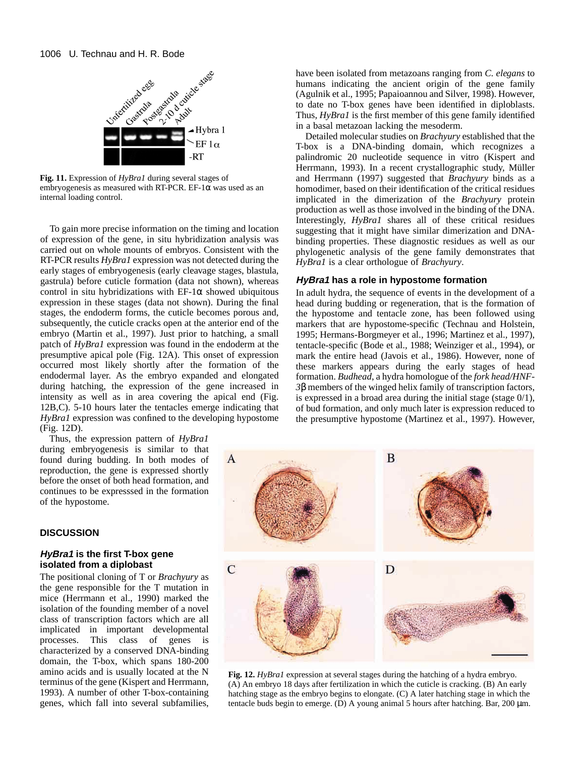

**Fig. 11.** Expression of *HyBra1* during several stages of embryogenesis as measured with RT-PCR. EF-1 $\alpha$  was used as an internal loading control.

To gain more precise information on the timing and location of expression of the gene, in situ hybridization analysis was carried out on whole mounts of embryos. Consistent with the RT-PCR results *HyBra1* expression was not detected during the early stages of embryogenesis (early cleavage stages, blastula, gastrula) before cuticle formation (data not shown), whereas control in situ hybridizations with  $EF-1\alpha$  showed ubiquitous expression in these stages (data not shown). During the final stages, the endoderm forms, the cuticle becomes porous and, subsequently, the cuticle cracks open at the anterior end of the embryo (Martin et al., 1997). Just prior to hatching, a small patch of *HyBra1* expression was found in the endoderm at the presumptive apical pole (Fig. 12A). This onset of expression occurred most likely shortly after the formation of the endodermal layer. As the embryo expanded and elongated during hatching, the expression of the gene increased in intensity as well as in area covering the apical end (Fig. 12B,C). 5-10 hours later the tentacles emerge indicating that *HyBra1* expression was confined to the developing hypostome (Fig. 12D).

Thus, the expression pattern of *HyBra1* during embryogenesis is similar to that found during budding. In both modes of reproduction, the gene is expressed shortly before the onset of both head formation, and continues to be expresssed in the formation of the hypostome.

## **DISCUSSION**

### **HyBra1 is the first T-box gene isolated from a diplobast**

The positional cloning of T or *Brachyury* as the gene responsible for the T mutation in mice (Herrmann et al., 1990) marked the isolation of the founding member of a novel class of transcription factors which are all implicated in important developmental processes. This class of genes is characterized by a conserved DNA-binding domain, the T-box, which spans 180-200 amino acids and is usually located at the N terminus of the gene (Kispert and Herrmann, 1993). A number of other T-box-containing genes, which fall into several subfamilies, have been isolated from metazoans ranging from *C. elegans* to humans indicating the ancient origin of the gene family (Agulnik et al., 1995; Papaioannou and Silver, 1998). However, to date no T-box genes have been identified in diploblasts. Thus, *HyBra1* is the first member of this gene family identified in a basal metazoan lacking the mesoderm.

Detailed molecular studies on *Brachyury* established that the T-box is a DNA-binding domain, which recognizes a palindromic 20 nucleotide sequence in vitro (Kispert and Herrmann, 1993). In a recent crystallographic study, Müller and Herrmann (1997) suggested that *Brachyury* binds as a homodimer, based on their identification of the critical residues implicated in the dimerization of the *Brachyury* protein production as well as those involved in the binding of the DNA. Interestingly, *HyBra1* shares all of these critical residues suggesting that it might have similar dimerization and DNAbinding properties. These diagnostic residues as well as our phylogenetic analysis of the gene family demonstrates that *HyBra1* is a clear orthologue of *Brachyury*.

### **HyBra1 has a role in hypostome formation**

In adult hydra, the sequence of events in the development of a head during budding or regeneration, that is the formation of the hypostome and tentacle zone, has been followed using markers that are hypostome-specific (Technau and Holstein, 1995; Hermans-Borgmeyer et al.*,* 1996; Martinez et al.*,* 1997), tentacle-specific (Bode et al.*,* 1988; Weinziger et al., 1994), or mark the entire head (Javois et al.*,* 1986). However, none of these markers appears during the early stages of head formation. *Budhead*, a hydra homologue of the *fork head/HNF-3*β members of the winged helix family of transcription factors, is expressed in a broad area during the initial stage (stage 0/1), of bud formation, and only much later is expression reduced to the presumptive hypostome (Martinez et al., 1997). However,



**Fig. 12.** *HyBra1* expression at several stages during the hatching of a hydra embryo. (A) An embryo 18 days after fertilization in which the cuticle is cracking. (B) An early hatching stage as the embryo begins to elongate. (C) A later hatching stage in which the tentacle buds begin to emerge. (D) A young animal 5 hours after hatching. Bar, 200 µm.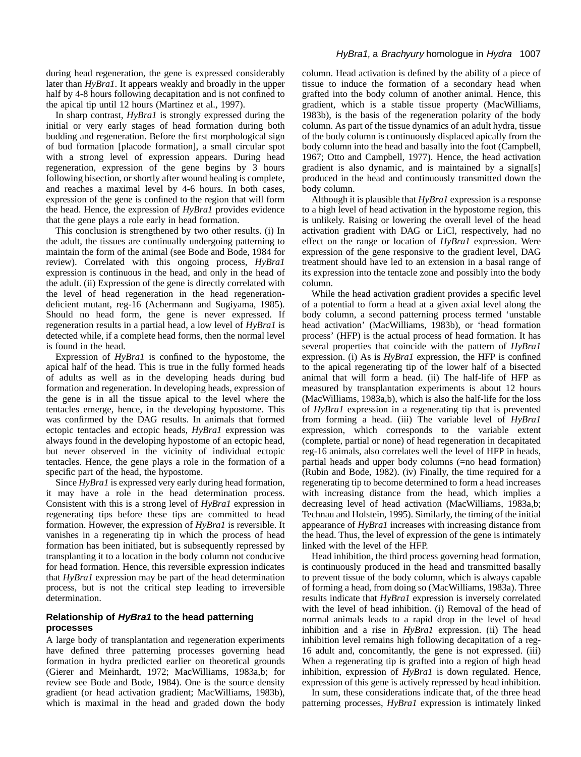during head regeneration, the gene is expressed considerably later than *HyBra1*. It appears weakly and broadly in the upper half by 4-8 hours following decapitation and is not confined to the apical tip until 12 hours (Martinez et al.*,* 1997).

In sharp contrast, *HyBra1* is strongly expressed during the initial or very early stages of head formation during both budding and regeneration. Before the first morphological sign of bud formation [placode formation], a small circular spot with a strong level of expression appears. During head regeneration, expression of the gene begins by 3 hours following bisection, or shortly after wound healing is complete, and reaches a maximal level by 4-6 hours. In both cases, expression of the gene is confined to the region that will form the head. Hence, the expression of *HyBra1* provides evidence that the gene plays a role early in head formation.

This conclusion is strengthened by two other results. (i) In the adult, the tissues are continually undergoing patterning to maintain the form of the animal (see Bode and Bode, 1984 for review). Correlated with this ongoing process, *HyBra1* expression is continuous in the head, and only in the head of the adult. (ii) Expression of the gene is directly correlated with the level of head regeneration in the head regenerationdeficient mutant, reg-16 (Achermann and Sugiyama, 1985). Should no head form, the gene is never expressed. If regeneration results in a partial head, a low level of *HyBra1* is detected while, if a complete head forms, then the normal level is found in the head.

Expression of *HyBra1* is confined to the hypostome, the apical half of the head. This is true in the fully formed heads of adults as well as in the developing heads during bud formation and regeneration. In developing heads, expression of the gene is in all the tissue apical to the level where the tentacles emerge, hence, in the developing hypostome. This was confirmed by the DAG results. In animals that formed ectopic tentacles and ectopic heads, *HyBra1* expression was always found in the developing hypostome of an ectopic head, but never observed in the vicinity of individual ectopic tentacles. Hence, the gene plays a role in the formation of a specific part of the head, the hypostome.

Since *HyBra1* is expressed very early during head formation, it may have a role in the head determination process. Consistent with this is a strong level of *HyBra1* expression in regenerating tips before these tips are committed to head formation. However, the expression of *HyBra1* is reversible. It vanishes in a regenerating tip in which the process of head formation has been initiated, but is subsequently repressed by transplanting it to a location in the body column not conducive for head formation. Hence, this reversible expression indicates that *HyBra1* expression may be part of the head determination process, but is not the critical step leading to irreversible determination.

## **Relationship of HyBra1 to the head patterning processes**

A large body of transplantation and regeneration experiments have defined three patterning processes governing head formation in hydra predicted earlier on theoretical grounds (Gierer and Meinhardt, 1972; MacWilliams, 1983a,b; for review see Bode and Bode, 1984). One is the source density gradient (or head activation gradient; MacWilliams, 1983b), which is maximal in the head and graded down the body

### HyBra1, a Brachyury homologue in Hydra 1007

column. Head activation is defined by the ability of a piece of tissue to induce the formation of a secondary head when grafted into the body column of another animal. Hence, this gradient, which is a stable tissue property (MacWilliams, 1983b), is the basis of the regeneration polarity of the body column. As part of the tissue dynamics of an adult hydra, tissue of the body column is continuously displaced apically from the body column into the head and basally into the foot (Campbell, 1967; Otto and Campbell, 1977). Hence, the head activation gradient is also dynamic, and is maintained by a signal[s] produced in the head and continuously transmitted down the body column.

Although it is plausible that *HyBra1* expression is a response to a high level of head activation in the hypostome region, this is unlikely. Raising or lowering the overall level of the head activation gradient with DAG or LiCl, respectively, had no effect on the range or location of *HyBra1* expression. Were expression of the gene responsive to the gradient level, DAG treatment should have led to an extension in a basal range of its expression into the tentacle zone and possibly into the body column.

While the head activation gradient provides a specific level of a potential to form a head at a given axial level along the body column, a second patterning process termed 'unstable head activation' (MacWilliams, 1983b), or 'head formation process' (HFP) is the actual process of head formation. It has several properties that coincide with the pattern of *HyBra1* expression. (i) As is *HyBra1* expression, the HFP is confined to the apical regenerating tip of the lower half of a bisected animal that will form a head. (ii) The half-life of HFP as measured by transplantation experiments is about 12 hours (MacWilliams, 1983a,b), which is also the half-life for the loss of *HyBra1* expression in a regenerating tip that is prevented from forming a head. (iii) The variable level of *HyBra1* expression, which corresponds to the variable extent (complete, partial or none) of head regeneration in decapitated reg-16 animals, also correlates well the level of HFP in heads, partial heads and upper body columns (=no head formation) (Rubin and Bode, 1982). (iv) Finally, the time required for a regenerating tip to become determined to form a head increases with increasing distance from the head, which implies a decreasing level of head activation (MacWilliams, 1983a,b; Technau and Holstein, 1995). Similarly, the timing of the initial appearance of *HyBra1* increases with increasing distance from the head. Thus, the level of expression of the gene is intimately linked with the level of the HFP.

Head inhibition, the third process governing head formation, is continuously produced in the head and transmitted basally to prevent tissue of the body column, which is always capable of forming a head, from doing so (MacWilliams, 1983a). Three results indicate that *HyBra1* expression is inversely correlated with the level of head inhibition. (i) Removal of the head of normal animals leads to a rapid drop in the level of head inhibition and a rise in *HyBra1* expression. (ii) The head inhibition level remains high following decapitation of a reg-16 adult and, concomitantly, the gene is not expressed. (iii) When a regenerating tip is grafted into a region of high head inhibition, expression of *HyBra1* is down regulated. Hence, expression of this gene is actively repressed by head inhibition.

In sum, these considerations indicate that, of the three head patterning processes, *HyBra1* expression is intimately linked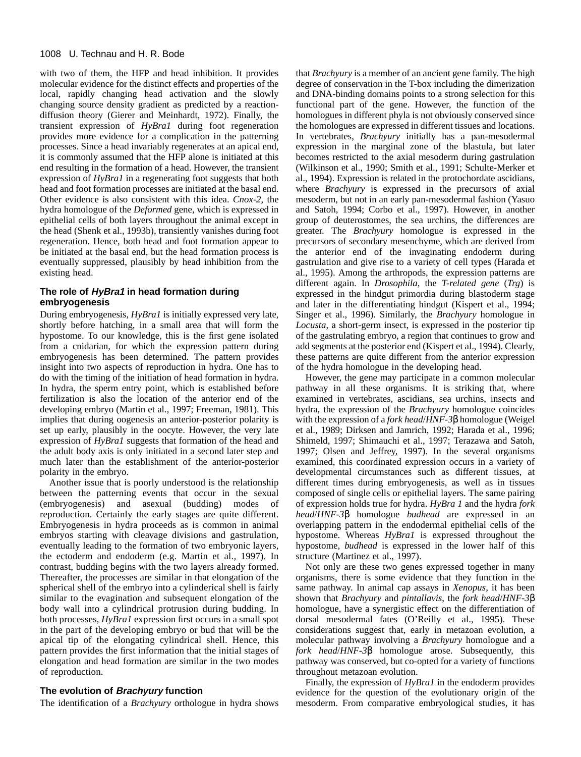with two of them, the HFP and head inhibition. It provides molecular evidence for the distinct effects and properties of the local, rapidly changing head activation and the slowly changing source density gradient as predicted by a reactiondiffusion theory (Gierer and Meinhardt, 1972). Finally, the transient expression of *HyBra1* during foot regeneration provides more evidence for a complication in the patterning processes. Since a head invariably regenerates at an apical end, it is commonly assumed that the HFP alone is initiated at this end resulting in the formation of a head. However, the transient expression of *HyBra1* in a regenerating foot suggests that both head and foot formation processes are initiated at the basal end. Other evidence is also consistent with this idea. *Cnox-2*, the hydra homologue of the *Deformed* gene, which is expressed in epithelial cells of both layers throughout the animal except in the head (Shenk et al., 1993b), transiently vanishes during foot regeneration. Hence, both head and foot formation appear to be initiated at the basal end, but the head formation process is eventually suppressed, plausibly by head inhibition from the existing head.

## **The role of HyBra1 in head formation during embryogenesis**

During embryogenesis, *HyBra1* is initially expressed very late, shortly before hatching, in a small area that will form the hypostome. To our knowledge, this is the first gene isolated from a cnidarian, for which the expression pattern during embryogenesis has been determined. The pattern provides insight into two aspects of reproduction in hydra. One has to do with the timing of the initiation of head formation in hydra. In hydra, the sperm entry point, which is established before fertilization is also the location of the anterior end of the developing embryo (Martin et al.*,* 1997; Freeman, 1981). This implies that during oogenesis an anterior-posterior polarity is set up early, plausibly in the oocyte. However, the very late expression of *HyBra1* suggests that formation of the head and the adult body axis is only initiated in a second later step and much later than the establishment of the anterior-posterior polarity in the embryo.

Another issue that is poorly understood is the relationship between the patterning events that occur in the sexual (embryogenesis) and asexual (budding) modes of reproduction. Certainly the early stages are quite different. Embryogenesis in hydra proceeds as is common in animal embryos starting with cleavage divisions and gastrulation, eventually leading to the formation of two embryonic layers, the ectoderm and endoderm (e.g. Martin et al.*,* 1997). In contrast, budding begins with the two layers already formed. Thereafter, the processes are similar in that elongation of the spherical shell of the embryo into a cylinderical shell is fairly similar to the evagination and subsequent elongation of the body wall into a cylindrical protrusion during budding. In both processes, *HyBra1* expression first occurs in a small spot in the part of the developing embryo or bud that will be the apical tip of the elongating cylindrical shell. Hence, this pattern provides the first information that the initial stages of elongation and head formation are similar in the two modes of reproduction.

### **The evolution of Brachyury function**

The identification of a *Brachyury* orthologue in hydra shows

that *Brachyury* is a member of an ancient gene family. The high degree of conservation in the T-box including the dimerization and DNA-binding domains points to a strong selection for this functional part of the gene. However, the function of the homologues in different phyla is not obviously conserved since the homologues are expressed in different tissues and locations. In vertebrates, *Brachyury* initially has a pan-mesodermal expression in the marginal zone of the blastula, but later becomes restricted to the axial mesoderm during gastrulation (Wilkinson et al., 1990; Smith et al., 1991; Schulte-Merker et al., 1994). Expression is related in the protochordate ascidians, where *Brachyury* is expressed in the precursors of axial mesoderm, but not in an early pan-mesodermal fashion (Yasuo and Satoh, 1994; Corbo et al., 1997). However, in another group of deuterostomes, the sea urchins, the differences are greater. The *Brachyury* homologue is expressed in the precursors of secondary mesenchyme, which are derived from the anterior end of the invaginating endoderm during gastrulation and give rise to a variety of cell types (Harada et al., 1995). Among the arthropods, the expression patterns are different again. In *Drosophila*, the *T-related gene* (*Trg*) is expressed in the hindgut primordia during blastoderm stage and later in the differentiating hindgut (Kispert et al., 1994; Singer et al., 1996). Similarly, the *Brachyury* homologue in *Locusta*, a short-germ insect, is expressed in the posterior tip of the gastrulating embryo, a region that continues to grow and add segments at the posterior end (Kispert et al., 1994). Clearly, these patterns are quite different from the anterior expression of the hydra homologue in the developing head.

However, the gene may participate in a common molecular pathway in all these organisms. It is striking that, where examined in vertebrates, ascidians, sea urchins, insects and hydra, the expression of the *Brachyury* homologue coincides with the expression of a *fork head*/*HNF-3*β homologue (Weigel et al., 1989; Dirksen and Jamrich, 1992; Harada et al., 1996; Shimeld, 1997; Shimauchi et al., 1997; Terazawa and Satoh, 1997; Olsen and Jeffrey, 1997). In the several organisms examined, this coordinated expression occurs in a variety of developmental circumstances such as different tissues, at different times during embryogenesis, as well as in tissues composed of single cells or epithelial layers. The same pairing of expression holds true for hydra. *HyBra 1* and the hydra *fork head*/*HNF-3*β homologue *budhead* are expressed in an overlapping pattern in the endodermal epithelial cells of the hypostome. Whereas *HyBra1* is expressed throughout the hypostome, *budhead* is expressed in the lower half of this structure (Martinez et al., 1997).

Not only are these two genes expressed together in many organisms, there is some evidence that they function in the same pathway. In animal cap assays in *Xenopus*, it has been shown that *Brachyury* and *pintallavis*, the *fork head*/*HNF-3*β homologue, have a synergistic effect on the differentiation of dorsal mesodermal fates (O'Reilly et al., 1995). These considerations suggest that, early in metazoan evolution, a molecular pathway involving a *Brachyury* homologue and a *fork head*/*HNF-3*β homologue arose. Subsequently, this pathway was conserved, but co-opted for a variety of functions throughout metazoan evolution.

Finally, the expression of *HyBra1* in the endoderm provides evidence for the question of the evolutionary origin of the mesoderm. From comparative embryological studies, it has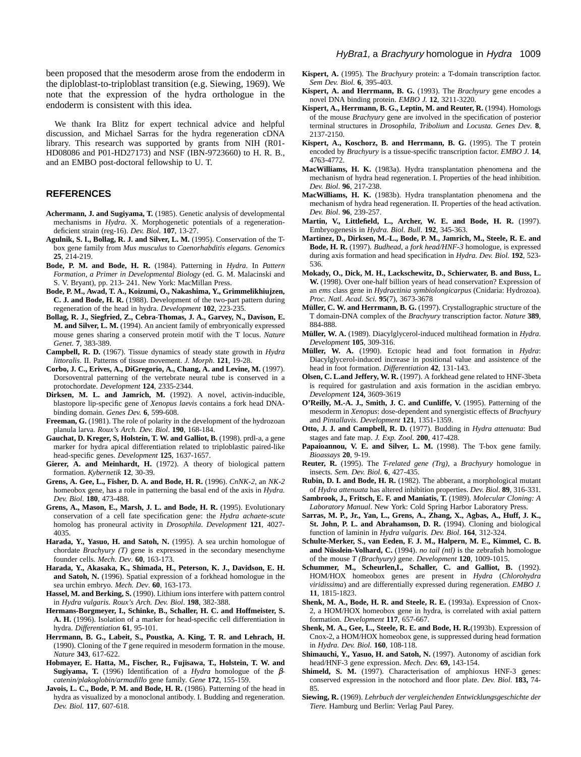been proposed that the mesoderm arose from the endoderm in the diploblast-to-triploblast transition (e.g. Siewing, 1969). We note that the expression of the hydra orthologue in the endoderm is consistent with this idea.

We thank Ira Blitz for expert technical advice and helpful discussion, and Michael Sarras for the hydra regeneration cDNA library. This research was supported by grants from NIH (R01- HD08086 and P01-HD27173) and NSF (IBN-9723660) to H. R. B., and an EMBO post-doctoral fellowship to U. T.

#### **REFERENCES**

- **Achermann, J. and Sugiyama, T.** (1985). Genetic analysis of developmental mechanisms in *Hydra*. X. Morphogenetic potentials of a regenerationdeficient strain (reg-16). *Dev. Biol.* **107**, 13-27.
- **Agulnik, S. I., Bollag, R. J. and Silver, L. M.** (1995). Conservation of the Tbox gene family from *Mus musculus* to *Caenorhabditis elegans. Genomics* **25**, 214-219.
- **Bode, P. M. and Bode, H. R.** (1984). Patterning in *Hydra*. In *Pattern Formation, a Primer in Developmental Biology* (ed. G. M. Malacinski and S. V. Bryant), pp. 213- 241. New York: MacMillan Press.
- **Bode, P. M., Awad, T. A., Koizumi, O., Nakashima, Y., Grimmelikhiujzen, C. J. and Bode, H. R.** (1988). Development of the two-part pattern during regeneration of the head in hydra. *Development* **102**, 223-235.
- **Bollag, R. J., Siegfried, Z., Cebra-Thomas, J. A., Garvey, N., Davison, E. M. and Silver, L. M.** (1994). An ancient family of embryonically expressed mouse genes sharing a conserved protein motif with the T locus. *Nature Genet.* **7**, 383-389.
- **Campbell, R. D.** (1967). Tissue dynamics of steady state growth in *Hydra littoralis.* II. Patterns of tissue movement. *J. Morph*. **121**, 19-28.
- **Corbo, J. C., Erives, A., DiGregorio, A., Chang, A. and Levine, M.** (1997). Dorsoventral patterning of the vertebrate neural tube is conserved in a protochordate. *Development* **124**, 2335-2344.
- **Dirksen, M. L. and Jamrich, M.** (1992). A novel, activin-inducible, blastopore lip-specific gene of *Xenopus laevis* contains a fork head DNAbinding domain. *Genes Dev.* **6**, 599-608.
- Freeman, G. (1981). The role of polarity in the development of the hydrozoan planula larva*. Roux's Arch. Dev. Biol*. **190**, 168-184.
- Gauchat, D. Kreger, S. Holstein, T. W. and Galliot, B. (1998). prdl-a, a gene marker for hydra apical differentiation related to triploblastic paired-like head-specific genes. *Development* **125**, 1637-1657.
- **Gierer, A. and Meinhardt, H.** (1972). A theory of biological pattern formation. *Kybernetik* **12**, 30-39.
- **Grens, A. Gee, L., Fisher, D. A. and Bode, H. R.** (1996). *CnNK-2*, an *NK-2* homeobox gene, has a role in patterning the basal end of the axis in *Hydra. Dev. Biol*. **180**, 473-488.
- **Grens, A., Mason, E., Marsh, J. L. and Bode, H. R.** (1995). Evolutionary conservation of a cell fate specification gene: the *Hydra achaete-scute* homolog has proneural activity in *Drosophila*. *Development* **121**, 4027- 4035.
- Harada, Y., Yasuo, H. and Satoh, N. (1995). A sea urchin homologue of chordate *Brachyury (T)* gene is expressed in the secondary mesenchyme founder cells. *Mech. Dev*. **60**, 163-173.
- **Harada, Y., Akasaka, K., Shimada, H., Peterson, K. J., Davidson, E. H. and Satoh, N.** (1996). Spatial expression of a forkhead homologue in the sea urchin embryo. *Mech. Dev*. **60**, 163-173.
- **Hassel, M. and Berking, S.** (1990). Lithium ions interfere with pattern control in *Hydra vulgaris. Roux's Arch. Dev. Biol*. **198**, 382-388.
- **Hermans-Borgmeyer, I., Schinke, B., Schaller, H. C. and Hoffmeister, S. A. H.** (1996). Isolation of a marker for head-specific cell differentiation in hydra. *Differentiation* **61**, 95-101.
- **Herrmann, B. G., Labeit, S., Poustka, A. King, T. R. and Lehrach, H.** (1990). Cloning of the *T* gene required in mesoderm formation in the mouse. *Nature* **343**, 617-622.
- **Hobmayer, E. Hatta, M., Fischer, R., Fujisawa, T., Holstein, T. W. and Sugiyama, T.** (1996) Identification of a *Hydra* homologue of the β*catenin/plakoglobin/armadillo* gene family. *Gene* **172**, 155-159.
- **Javois, L. C., Bode, P. M. and Bode, H. R.** (1986). Patterning of the head in hydra as visualized by a monoclonal antibody. I. Budding and regeneration. *Dev. Biol.* **117**, 607-618.
- **Kispert, A.** (1995). The *Brachyury* protein: a T-domain transcription factor. *Sem Dev. Biol.* **6**, 395-403.
- **Kispert, A. and Herrmann, B. G.** (1993). The *Brachyury* gene encodes a novel DNA binding protein. *EMBO J.* **12**, 3211-3220.
- **Kispert, A., Herrmann, B. G., Leptin, M. and Reuter, R.** (1994). Homologs of the mouse *Brachyury* gene are involved in the specification of posterior terminal structures in *Drosophila, Tribolium* and *Locusta. Genes Dev*. **8**, 2137-2150.
- Kispert, A., Koschorz, B. and Herrmann, B. G. (1995). The T protein encoded by *Brachyury* is a tissue-specific transcription factor. *EMBO J*. **14**, 4763-4772.
- **MacWilliams, H. K.** (1983a). Hydra transplantation phenomena and the mechanism of hydra head regeneration. I. Properties of the head inhibition. *Dev. Biol*. **96**, 217-238.
- **MacWilliams, H. K.** (1983b). Hydra transplantation phenomena and the mechanism of hydra head regeneration. II. Properties of the head activation. *Dev. Biol*. **96**, 239-257.
- **Martin, V., Littlefield, L., Archer, W. E. and Bode, H. R.** (1997). Embryogenesis in *Hydra. Biol. Bull*. **192**, 345-363.
- **Martinez, D., Dirksen, M.-L., Bode, P. M., Jamrich, M., Steele, R. E. and Bode, H. R.** (1997). *Budhead*, a *fork head/HNF-3* homologue, is expressed during axis formation and head specification in *Hydra. Dev. Biol.* **192**, 523- 536.
- **Mokady, O., Dick, M. H., Lackschewitz, D., Schierwater, B. and Buss, L. W.** (1998). Over one-half billion years of head conservation? Expression of an *ems* class gene in *Hydractinia symbiolongicarpus* (Cnidaria: Hydrozoa). *Proc. Natl. Acad. Sci.* **95**(7), 3673-3678
- **Müller, C. W. and Herrmann, B. G.** (1997). Crystallographic structure of the T domain-DNA complex of the *Brachyury* transcription factor. *Nature* **389**, 884-888.
- **Müller, W. A.** (1989). Diacylglycerol-induced multihead formation in *Hydra*. *Development* **105**, 309-316.
- **Müller, W. A.** (1990). Ectopic head and foot formation in *Hydra*: Diacylglycerol-induced increase in positional value and assistence of the head in foot formation. *Differentiation* **42**, 131-143.
- **Olsen, C. L.and Jeffery, W. R.** (1997). A forkhead gene related to HNF-3beta is required for gastrulation and axis formation in the ascidian embryo. *Development* **124,** 3609-3619
- **O'Reilly, M.-A. J., Smith, J. C. and Cunliffe, V.** (1995). Patterning of the mesoderm in *Xenopus*: dose-dependent and synergistic effects of *Brachyury* and *Pintallavis*. *Development* **121**, 1351-1359.
- **Otto, J. J. and Campbell, R. D.** (1977). Budding in *Hydra attenuata*: Bud stages and fate map. *J. Exp. Zool.* **200**, 417-428.
- Papaioannou, V. E. and Silver, L. M. (1998). The T-box gene family. *Bioassays* **20**, 9-19.
- **Reuter, R.** (1995). The *T-related gene (Trg)*, a *Brachyury* homologue in insects. *Sem. Dev. Biol.* **6**, 427-435.

**Rubin, D. I. and Bode, H. R.** (1982). The abberant, a morphological mutant of *Hydra attenuata* has altered inhibition properties. *Dev. Biol.* **89**, 316-331.

- **Sambrook, J., Fritsch, E. F. and Maniatis, T.** (1989). *Molecular Cloning: A Laboratory Manual*. New York: Cold Spring Harbor Laboratory Press.
- **Sarras, M. P., Jr., Yan, L., Grens, A., Zhang, X., Agbas, A., Huff, J. K., St. John, P. L. and Abrahamson, D. R.** (1994). Cloning and biological function of laminin in *Hydra vulgaris. Dev. Biol*. **164**, 312-324.
- **Schulte-Merker, S., van Eeden, F. J. M., Halpern, M. E., Kimmel, C. B. and Nüsslein-Volhard, C.** (1994). *no tail (ntl)* is the zebrafish homologue of the mouse *T (Brachyury)* gene. *Development* **120**, 1009-1015.
- **Schummer, M., Scheurlen,I., Schaller, C. and Galliot, B.** (1992). HOM/HOX homeobox genes are present in *Hydra* (*Chlorohydra viridissima*) and are differentially expressed during regeneration. *EMBO J.* **11**, 1815-1823.
- **Shenk, M. A., Bode, H. R. and Steele, R. E.** (1993a). Expression of Cnox-2, a HOM/HOX homeobox gene in hydra, is correlated with axial pattern formation. *Development* **117**, 657-667.
- **Shenk, M. A., Gee, L., Steele, R. E. and Bode, H. R.**(1993b). Expression of Cnox-2, a HOM/HOX homeobox gene, is suppressed during head formation in *Hydra. Dev. Biol.* **160**, 108-118.
- **Shimauchi, Y., Yasuo, H. and Satoh, N.** (1997). Autonomy of ascidian fork head/HNF-3 gene expression. *Mech. Dev.* **69,** 143-154.
- Shimeld, S. M. (1997). Characterisation of amphioxus HNF-3 genes: conserved expression in the notochord and floor plate. *Dev. Biol.* **183,** 74- 85.
- **Siewing, R.** (1969). *Lehrbuch der vergleichenden Entwicklungsgeschichte der Tiere.* Hamburg und Berlin: Verlag Paul Parey.